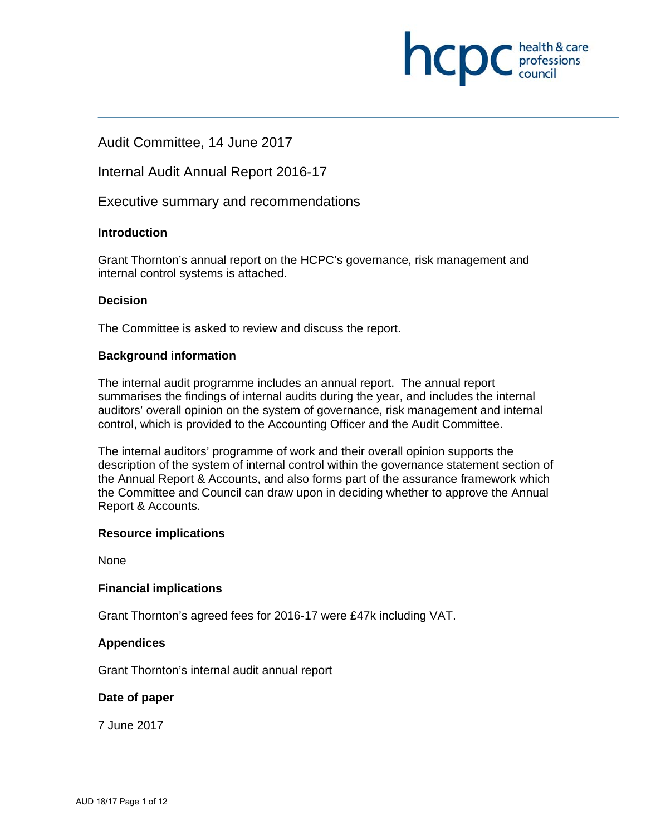

## Audit Committee, 14 June 2017

Internal Audit Annual Report 2016-17

Executive summary and recommendations

## **Introduction**

Grant Thornton's annual report on the HCPC's governance, risk management and internal control systems is attached.

### **Decision**

The Committee is asked to review and discuss the report.

## **Background information**

The internal audit programme includes an annual report. The annual report summarises the findings of internal audits during the year, and includes the internal auditors' overall opinion on the system of governance, risk management and internal control, which is provided to the Accounting Officer and the Audit Committee.

The internal auditors' programme of work and their overall opinion supports the description of the system of internal control within the governance statement section of the Annual Report & Accounts, and also forms part of the assurance framework which the Committee and Council can draw upon in deciding whether to approve the Annual Report & Accounts.

### **Resource implications**

None

### **Financial implications**

Grant Thornton's agreed fees for 2016-17 were £47k including VAT.

## **Appendices**

Grant Thornton's internal audit annual report

## **Date of paper**

7 June 2017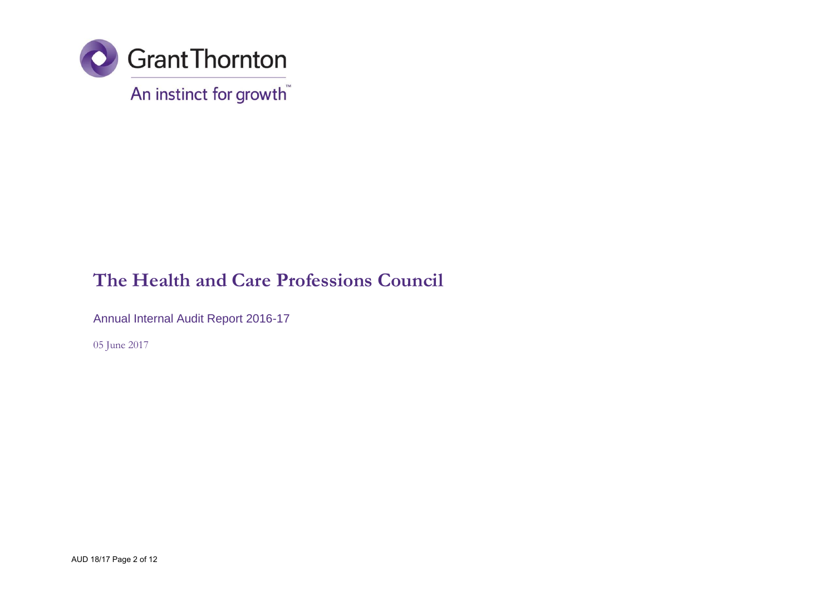

# **The Health and Care Professions Council**

Annual Internal Audit Report 2016-17

05 June 2017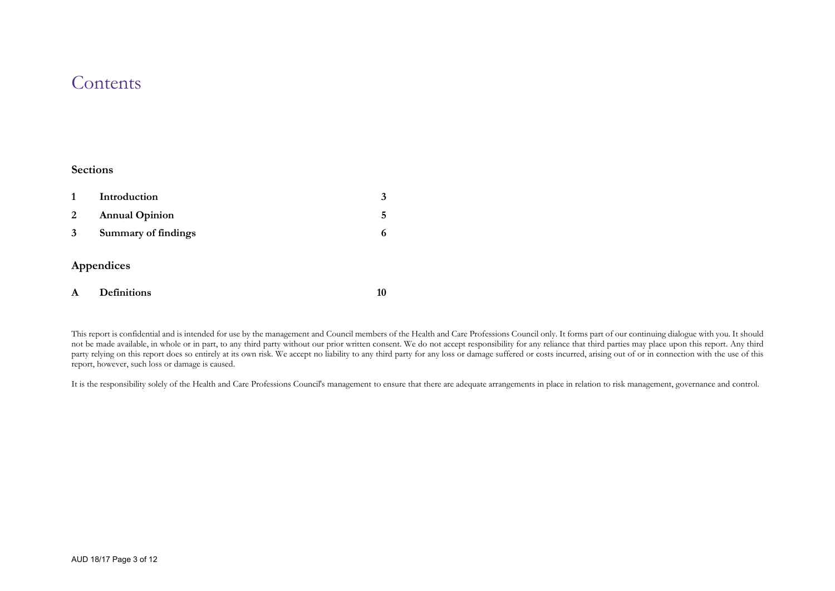## **Contents**

## **Sections**

|            | Introduction          | 3 |
|------------|-----------------------|---|
| 2          | <b>Annual Opinion</b> | 5 |
| 3          | Summary of findings   | 6 |
| Appendices |                       |   |

**A Definitions 10**

This report is confidential and is intended for use by the management and Council members of the Health and Care Professions Council only. It forms part of our continuing dialogue with you. It should not be made available, in whole or in part, to any third party without our prior written consent. We do not accept responsibility for any reliance that third parties may place upon this report. Any third party relying on this report does so entirely at its own risk. We accept no liability to any third party for any loss or damage suffered or costs incurred, arising out of or in connection with the use of this report, however, such loss or damage is caused.

It is the responsibility solely of the Health and Care Professions Council's management to ensure that there are adequate arrangements in place in relation to risk management, governance and control.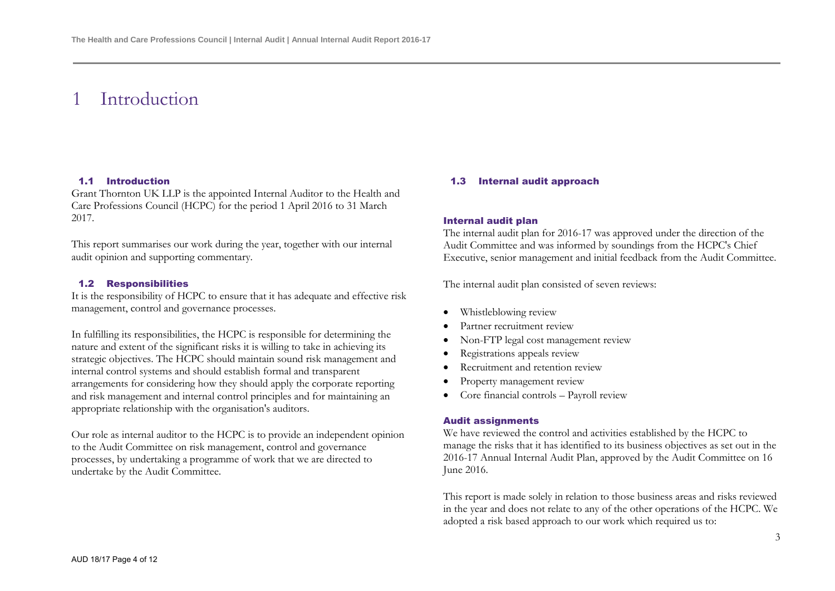## **Introduction**

#### 1.1 Introduction

Grant Thornton UK LLP is the appointed Internal Auditor to the Health and Care Professions Council (HCPC) for the period 1 April 2016 to 31 March 2017.

This report summarises our work during the year, together with our internal audit opinion and supporting commentary.

#### 1.2 Responsibilities

It is the responsibility of HCPC to ensure that it has adequate and effective risk management, control and governance processes.

In fulfilling its responsibilities, the HCPC is responsible for determining the nature and extent of the significant risks it is willing to take in achieving its strategic objectives. The HCPC should maintain sound risk management and internal control systems and should establish formal and transparent arrangements for considering how they should apply the corporate reporting and risk management and internal control principles and for maintaining an appropriate relationship with the organisation's auditors.

Our role as internal auditor to the HCPC is to provide an independent opinion to the Audit Committee on risk management, control and governance processes, by undertaking a programme of work that we are directed to undertake by the Audit Committee.

#### 1.3 Internal audit approach

#### Internal audit plan

The internal audit plan for 2016-17 was approved under the direction of the Audit Committee and was informed by soundings from the HCPC's Chief Executive, senior management and initial feedback from the Audit Committee.

The internal audit plan consisted of seven reviews:

- Whistleblowing review
- Partner recruitment review
- Non-FTP legal cost management review
- Registrations appeals review
- Recruitment and retention review
- Property management review
- Core financial controls Payroll review

#### Audit assignments

We have reviewed the control and activities established by the HCPC to manage the risks that it has identified to its business objectives as set out in the 2016-17 Annual Internal Audit Plan, approved by the Audit Committee on 16 June 2016.

This report is made solely in relation to those business areas and risks reviewed in the year and does not relate to any of the other operations of the HCPC. We adopted a risk based approach to our work which required us to: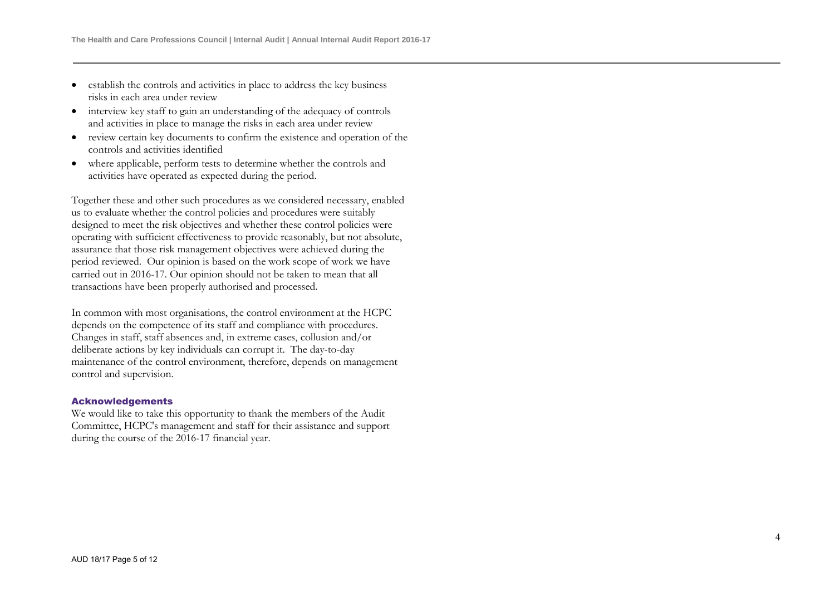- establish the controls and activities in place to address the key business risks in each area under review
- interview key staff to gain an understanding of the adequacy of controls and activities in place to manage the risks in each area under review
- review certain key documents to confirm the existence and operation of the controls and activities identified
- where applicable, perform tests to determine whether the controls and activities have operated as expected during the period.

Together these and other such procedures as we considered necessary, enabled us to evaluate whether the control policies and procedures were suitably designed to meet the risk objectives and whether these control policies were operating with sufficient effectiveness to provide reasonabl y , but not absolute, assurance that those risk management objectives were achieved during the period reviewed. Our opinion is based on the work scope of work we have carried out in 2016 -17. Our opinion should not be taken to mean that all transactions have been properly authorised and processed.

In common with most organisations, the control environment at the HCPC depends on the competence of its staff and compliance with procedures. Changes in staff, staff absences and, in extreme cases, collusion and/or deliberate actions by key individuals can corrupt it. The day -to -day maintenance of the control environment, therefore, depends on management control and supervision.

#### Acknowledgements

We would like to take this opportunity to thank the members of the Audit Committee, HCPC's management and staff for their assistance and support during the course of the 2016 -17 financial year .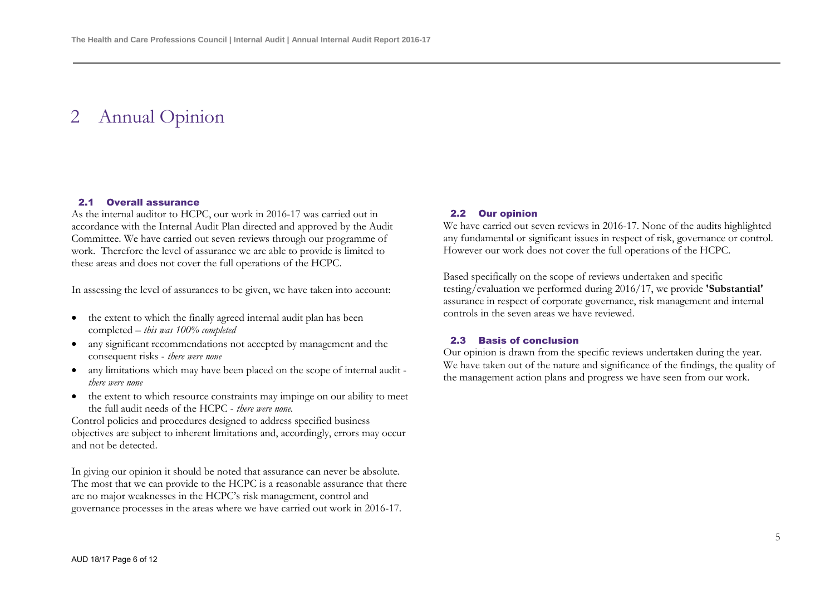## 2 Annual Opinion

#### 2.1 Overall assurance

As the internal auditor to HCPC, our work in 2016-17 was carried out in accordance with the Internal Audit Plan directed and approved by the Audit Committee. We have carried out seven reviews through our programme of work. Therefore the level of assurance we are able to provide is limited to these areas and does not cover the full operations of the HCPC.

In assessing the level of assurances to be given, we have taken into account:

- the extent to which the finally agreed internal audit plan has been completed – *this was 100% completed*
- any significant recommendations not accepted by management and the consequent risks - *there were none*
- any limitations which may have been placed on the scope of internal audit *there were none*
- the extent to which resource constraints may impinge on our ability to meet the full audit needs of the HCPC - *there were none.*

Control policies and procedures designed to address specified business objectives are subject to inherent limitations and, accordingly, errors may occur and not be detected.

In giving our opinion it should be noted that assurance can never be absolute. The most that we can provide to the HCPC is a reasonable assurance that there are no major weaknesses in the HCPC's risk management, control and governance processes in the areas where we have carried out work in 2016-17.

#### 2.2 Our opinion

We have carried out seven reviews in 2016-17. None of the audits highlighted any fundamental or significant issues in respect of risk, governance or control. However our work does not cover the full operations of the HCPC.

Based specifically on the scope of reviews undertaken and specific testing/evaluation we performed during 2016/17, we provide **'Substantial'**  assurance in respect of corporate governance, risk management and internal controls in the seven areas we have reviewed.

#### 2.3 Basis of conclusion

Our opinion is drawn from the specific reviews undertaken during the year. We have taken out of the nature and significance of the findings, the quality of the management action plans and progress we have seen from our work.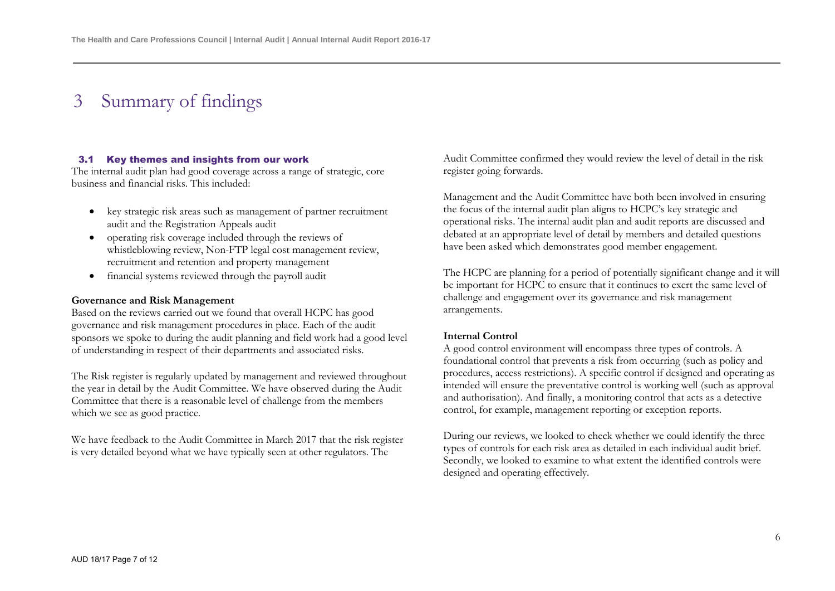# 3 Summary of findings

#### 3.1 Key themes and insights from our work

The internal audit plan had good coverage across a range of strategic, core business and financial risks. This included:

- key strategic risk areas such as management of partner recruitment audit and the Registration Appeals audit
- operating risk coverage included through the reviews of whistleblowing review, Non-FTP legal cost management review, recruitment and retention and property management
- financial systems reviewed through the payroll audit

#### **Governance and Risk Management**

Based on the reviews carried out we found that overall HCPC has good governance and risk management procedures in place. Each of the audit sponsors we spoke to during the audit planning and field work had a good level of understanding in respect of their departments and associated risks.

The Risk register is regularly updated by management and reviewed throughout the year in detail by the Audit Committee. We have observed during the Audit Committee that there is a reasonable level of challenge from the members which we see as good practice.

We have feedback to the Audit Committee in March 2017 that the risk register is very detailed beyond what we have typically seen at other regulators. The

Audit Committee confirmed they would review the level of detail in the risk register going forwards.

Management and the Audit Committee have both been involved in ensuring the focus of the internal audit plan aligns to HCPC's key strategic and operational risks. The internal audit plan and audit reports are discussed and debated at an appropriate level of detail by members and detailed questions have been asked which demonstrates good member engagement.

The HCPC are planning for a period of potentially significant change and it will be important for HCPC to ensure that it continues to exert the same level of challenge and engagement over its governance and risk management arrangements.

#### **Internal Control**

A good control environment will encompass three types of controls. A foundational control that prevents a risk from occurring (such as policy and procedures, access restrictions). A specific control if designed and operating as intended will ensure the preventative control is working well (such as approval and authorisation). And finally, a monitoring control that acts as a detective control, for example, management reporting or exception reports.

During our reviews, we looked to check whether we could identify the three types of controls for each risk area as detailed in each individual audit brief. Secondly, we looked to examine to what extent the identified controls were designed and operating effectively.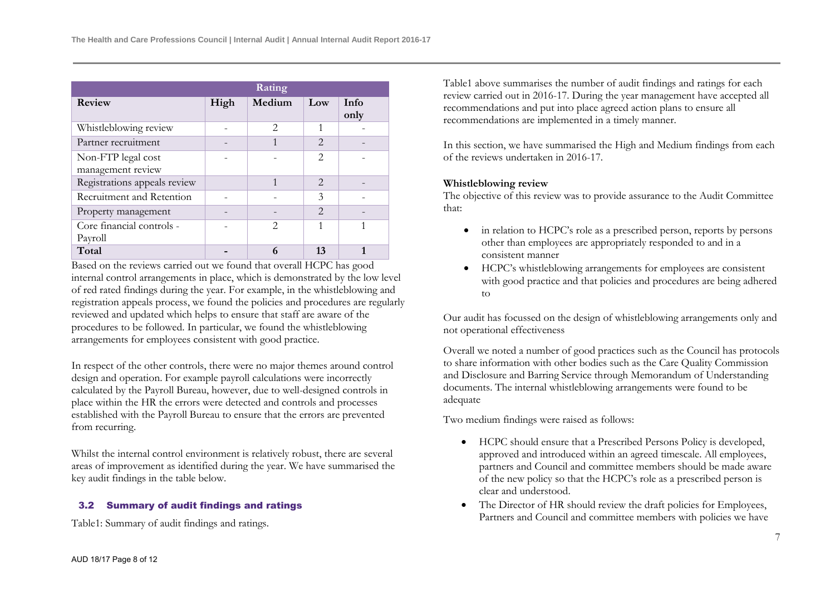|                                         |      | Rating                      |                             |              |
|-----------------------------------------|------|-----------------------------|-----------------------------|--------------|
| Review                                  | High | Medium                      | Low                         | Info<br>only |
| Whistleblowing review                   |      | $\mathfrak{D}$              | 1                           |              |
| Partner recruitment                     |      |                             | $\mathcal{D}_{\mathcal{L}}$ |              |
| Non-FTP legal cost<br>management review |      |                             | $\mathfrak{D}$              |              |
| Registrations appeals review            |      | 1                           | $\mathcal{D}_{\mathcal{L}}$ |              |
| Recruitment and Retention               |      |                             | 3                           |              |
| Property management                     |      |                             | $\mathcal{D}_{\mathcal{L}}$ |              |
| Core financial controls -<br>Payroll    |      | $\mathcal{D}_{\mathcal{L}}$ | 1                           | 1            |
| Total                                   |      | 6                           | 13                          |              |

Based on the reviews carried out we found that overall HCPC has good internal control arrangements in place, which is demonstrated by the low level of red rated findings during the year. For example, in the whistleblowing and registration appeals process, we found the policies and procedures are regularly reviewed and updated which helps to ensure that staff are aware of the procedures to be followed. In particular, we found the whistleblowing arrangements for employees consistent with good practice.

In respect of the other controls, there were no major themes around control design and operation. For example payroll calculations were incorrectly calculated by the Payroll Bureau, however, due to well-designed controls in place within the HR the errors were detected and controls and processes established with the Payroll Bureau to ensure that the errors are prevented from recurring.

Whilst the internal control environment is relatively robust, there are several areas of improvement as identified during the year. We have summarised the key audit findings in the table below.

## 3.2 Summary of audit findings and ratings

Table1: Summary of audit findings and ratings.

Table1 above summarises the number of audit findings and ratings for each review carried out in 2016-17. During the year management have accepted all recommendations and put into place agreed action plans to ensure all recommendations are implemented in a timely manner.

In this section, we have summarised the High and Medium findings from each of the reviews undertaken in 2016-17.

## **Whistleblowing review**

The objective of this review was to provide assurance to the Audit Committee that:

- in relation to HCPC's role as a prescribed person, reports by persons other than employees are appropriately responded to and in a consistent manner
- HCPC's whistleblowing arrangements for employees are consistent with good practice and that policies and procedures are being adhered to

Our audit has focussed on the design of whistleblowing arrangements only and not operational effectiveness

Overall we noted a number of good practices such as the Council has protocols to share information with other bodies such as the Care Quality Commission and Disclosure and Barring Service through Memorandum of Understanding documents. The internal whistleblowing arrangements were found to be adequate

Two medium findings were raised as follows:

- HCPC should ensure that a Prescribed Persons Policy is developed, approved and introduced within an agreed timescale. All employees, partners and Council and committee members should be made aware of the new policy so that the HCPC's role as a prescribed person is clear and understood.
- The Director of HR should review the draft policies for Employees, Partners and Council and committee members with policies we have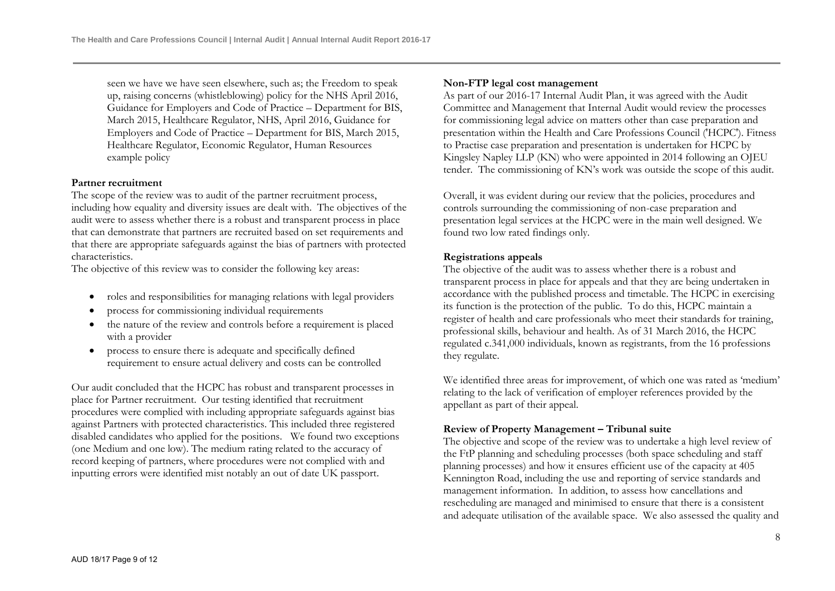seen we have we have seen elsewhere, such as; the Freedom to speak up, raising concerns (whistleblowing) policy for the NHS April 2016, Guidance for Employers and Code of Practice – Department for BIS, March 2015, Healthcare Regulator, NHS, April 2016, Guidance for Employers and Code of Practice – Department for BIS, March 2015, Healthcare Regulator, Economic Regulator, Human Resources example policy

## **Partner recruitment**

The scope of the review was to audit of the partner recruitment process, including how equality and diversity issues are dealt with. The objectives of the audit were to assess whether there is a robust and transparent process in place that can demonstrate that partners are recruited based on set requirements and that there are appropriate safeguards against the bias of partners with protected characteristics.

The objective of this review was to consider the following key areas:

- roles and responsibilities for managing relations with legal providers
- process for commissioning individual requirements
- the nature of the review and controls before a requirement is placed with a provider
- process to ensure there is adequate and specifically defined requirement to ensure actual delivery and costs can be controlled

Our audit concluded that the HCPC has robust and transparent processes in place for Partner recruitment. Our testing identified that recruitment procedures were complied with including appropriate safeguards against bias against Partners with protected characteristics. This included three registered disabled candidates who applied for the positions. We found two exceptions (one Medium and one low). The medium rating related to the accuracy of record keeping of partners, where procedures were not complied with and inputting errors were identified mist notably an out of date UK passport.

## **Non-FTP legal cost management**

As part of our 2016-17 Internal Audit Plan, it was agreed with the Audit Committee and Management that Internal Audit would review the processes for commissioning legal advice on matters other than case preparation and presentation within the Health and Care Professions Council ('HCPC'). Fitness to Practise case preparation and presentation is undertaken for HCPC by Kingsley Napley LLP (KN) who were appointed in 2014 following an OJEU tender. The commissioning of KN's work was outside the scope of this audit.

Overall, it was evident during our review that the policies, procedures and controls surrounding the commissioning of non-case preparation and presentation legal services at the HCPC were in the main well designed. We found two low rated findings only.

## **Registrations appeals**

The objective of the audit was to assess whether there is a robust and transparent process in place for appeals and that they are being undertaken in accordance with the published process and timetable. The HCPC in exercising its function is the protection of the public. To do this, HCPC maintain a register of health and care professionals who meet their standards for training, professional skills, behaviour and health. As of 31 March 2016, the HCPC regulated c.341,000 individuals, known as registrants, from the 16 professions they regulate.

We identified three areas for improvement, of which one was rated as 'medium' relating to the lack of verification of employer references provided by the appellant as part of their appeal.

## **Review of Property Management – Tribunal suite**

The objective and scope of the review was to undertake a high level review of the FtP planning and scheduling processes (both space scheduling and staff planning processes) and how it ensures efficient use of the capacity at 405 Kennington Road, including the use and reporting of service standards and management information. In addition, to assess how cancellations and rescheduling are managed and minimised to ensure that there is a consistent and adequate utilisation of the available space. We also assessed the quality and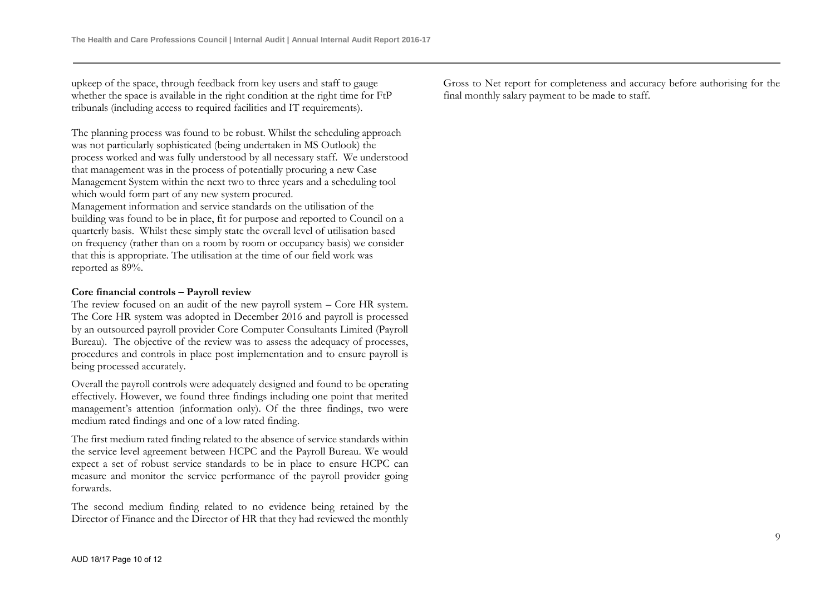upkeep of the space, through feedback from key users and staff to gauge whether the space is available in the right condition at the right time for FtP tribunals (including access to required facilities and IT requirements).

The planning process was found to be robust. Whilst the scheduling approach was not particularly sophisticated (being undertaken in MS Outlook) the process worked and was fully understood by all necessary staff. We understood that management was in the process of potentially procuring a new Case Management System within the next two to three years and a scheduling tool which would form part of any new system procured. Management information and service standards on the utilisation of the building was found to be in place, fit for purpose and reported to Council on a quarterly basis. Whilst these simply state the overall level of utilisation based on frequency (rather than on a room by room or occupancy basis) we consider that this is appropriate. The utilisation at the time of our field work was reported as 89%.

#### **Core financial controls – Payroll review**

The review focused on an audit of the new payroll system – Core HR system. The Core HR system was adopted in December 2016 and payroll is processed by an outsourced payroll provider Core Computer Consultants Limited (Payroll Bureau). The objective of the review was to assess the adequacy of processes, procedures and controls in place post implementation and to ensure payroll is being processed accurately.

Overall the payroll controls were adequately designed and found to be operating effectively. However, we found three findings including one point that merited management's attention (information only). Of the three findings, two were medium rated findings and one of a low rated finding.

The first medium rated finding related to the absence of service standards within the service level agreement between HCPC and the Payroll Bureau. We would expect a set of robust service standards to be in place to ensure HCPC can measure and monitor the service performance of the payroll provider going forwards.

The second medium finding related to no evidence being retained by the Director of Finance and the Director of HR that they had reviewed the monthly Gross to Net report for completeness and accuracy before authorising for the final monthly salary payment to be made to staff.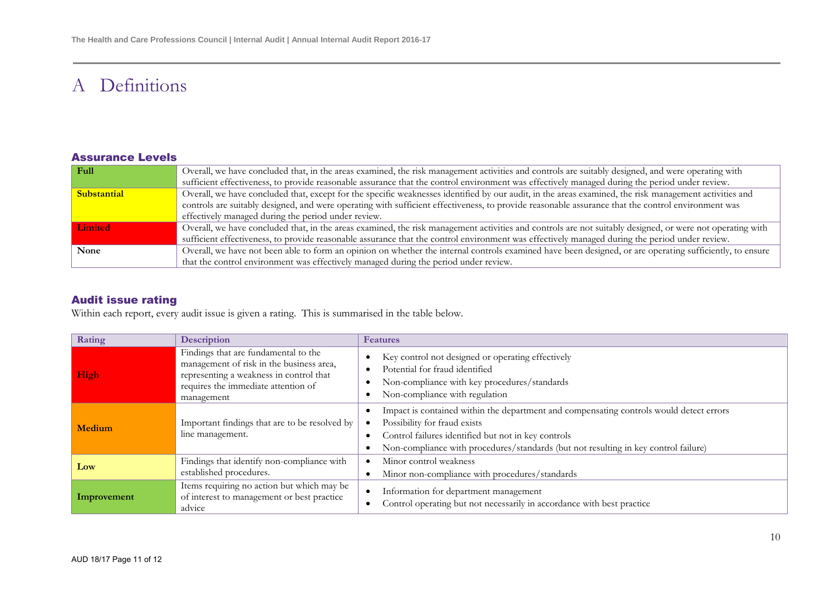# A Definitions

## Assurance Levels

| Full        | Overall, we have concluded that, in the areas examined, the risk management activities and controls are suitably designed, and were operating with        |  |  |
|-------------|-----------------------------------------------------------------------------------------------------------------------------------------------------------|--|--|
|             | sufficient effectiveness, to provide reasonable assurance that the control environment was effectively managed during the period under review.            |  |  |
| Substantial | Overall, we have concluded that, except for the specific weaknesses identified by our audit, in the areas examined, the risk management activities and    |  |  |
|             | controls are suitably designed, and were operating with sufficient effectiveness, to provide reasonable assurance that the control environment was        |  |  |
|             | effectively managed during the period under review.                                                                                                       |  |  |
| Limited     | Overall, we have concluded that, in the areas examined, the risk management activities and controls are not suitably designed, or were not operating with |  |  |
|             | sufficient effectiveness, to provide reasonable assurance that the control environment was effectively managed during the period under review.            |  |  |
| None        | Overall, we have not been able to form an opinion on whether the internal controls examined have been designed, or are operating sufficiently, to ensure  |  |  |
|             | that the control environment was effectively managed during the period under review.                                                                      |  |  |

## Audit issue rating

Within each report, every audit issue is given a rating. This is summarised in the table below.

| Rating      | <b>Description</b>                                                                                                                                                               | <b>Features</b>                                                                                                                                                                                                                                                       |
|-------------|----------------------------------------------------------------------------------------------------------------------------------------------------------------------------------|-----------------------------------------------------------------------------------------------------------------------------------------------------------------------------------------------------------------------------------------------------------------------|
| High        | Findings that are fundamental to the<br>management of risk in the business area,<br>representing a weakness in control that<br>requires the immediate attention of<br>management | Key control not designed or operating effectively<br>Potential for fraud identified<br>Non-compliance with key procedures/standards<br>Non-compliance with regulation                                                                                                 |
| Medium      | Important findings that are to be resolved by<br>line management.                                                                                                                | Impact is contained within the department and compensating controls would detect errors<br>Possibility for fraud exists<br>Control failures identified but not in key controls<br>Non-compliance with procedures/standards (but not resulting in key control failure) |
| Low         | Findings that identify non-compliance with<br>established procedures.                                                                                                            | Minor control weakness<br>Minor non-compliance with procedures/standards                                                                                                                                                                                              |
| Improvement | Items requiring no action but which may be<br>of interest to management or best practice<br>advice                                                                               | Information for department management<br>Control operating but not necessarily in accordance with best practice                                                                                                                                                       |